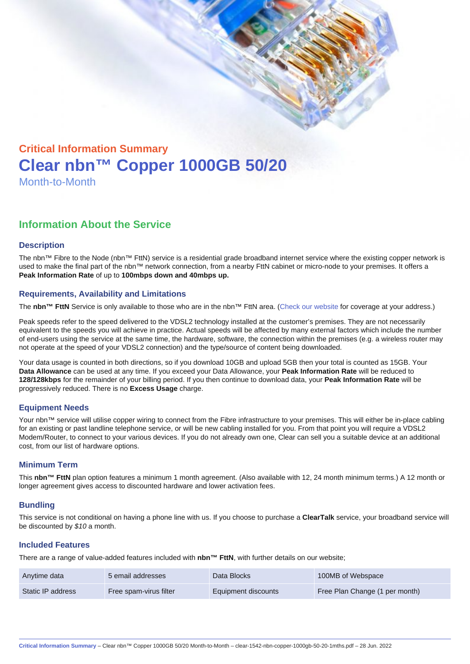# Critical Information Summary Clear nbn™ Copper 1000GB 50/20 Month-to-Month

## Information About the Service

#### **Description**

The nbn™ Fibre to the Node (nbn™ FttN) service is a residential grade broadband internet service where the existing copper network is used to make the final part of the nbn™ network connection, from a nearby FttN cabinet or micro-node to your premises. It offers a Peak Information Rate of up to 100mbps down and 40mbps up.

#### Requirements, Availability and Limitations

The nbn™ FttN Service is only available to those who are in the nbn™ FttN area. ([Check our website](https://www.clear.com.au/residential/nbn-fixed/) for coverage at your address.)

Peak speeds refer to the speed delivered to the VDSL2 technology installed at the customer's premises. They are not necessarily equivalent to the speeds you will achieve in practice. Actual speeds will be affected by many external factors which include the number of end-users using the service at the same time, the hardware, software, the connection within the premises (e.g. a wireless router may not operate at the speed of your VDSL2 connection) and the type/source of content being downloaded.

Your data usage is counted in both directions, so if you download 10GB and upload 5GB then your total is counted as 15GB. Your Data Allowance can be used at any time. If you exceed your Data Allowance, your Peak Information Rate will be reduced to 128/128kbps for the remainder of your billing period. If you then continue to download data, your Peak Information Rate will be progressively reduced. There is no Excess Usage charge.

#### Equipment Needs

Your nbn™ service will utilise copper wiring to connect from the Fibre infrastructure to your premises. This will either be in-place cabling for an existing or past landline telephone service, or will be new cabling installed for you. From that point you will require a VDSL2 Modem/Router, to connect to your various devices. If you do not already own one, Clear can sell you a suitable device at an additional cost, from our list of hardware options.

#### Minimum Term

This nbn™ FttN plan option features a minimum 1 month agreement. (Also available with 12, 24 month minimum terms.) A 12 month or longer agreement gives access to discounted hardware and lower activation fees.

#### **Bundling**

This service is not conditional on having a phone line with us. If you choose to purchase a ClearTalk service, your broadband service will be discounted by \$10 a month.

#### Included Features

There are a range of value-added features included with nbn™ FttN , with further details on our website;

| Anytime data      | 5 email addresses      | Data Blocks         | 100MB of Webspace              |
|-------------------|------------------------|---------------------|--------------------------------|
| Static IP address | Free spam-virus filter | Equipment discounts | Free Plan Change (1 per month) |